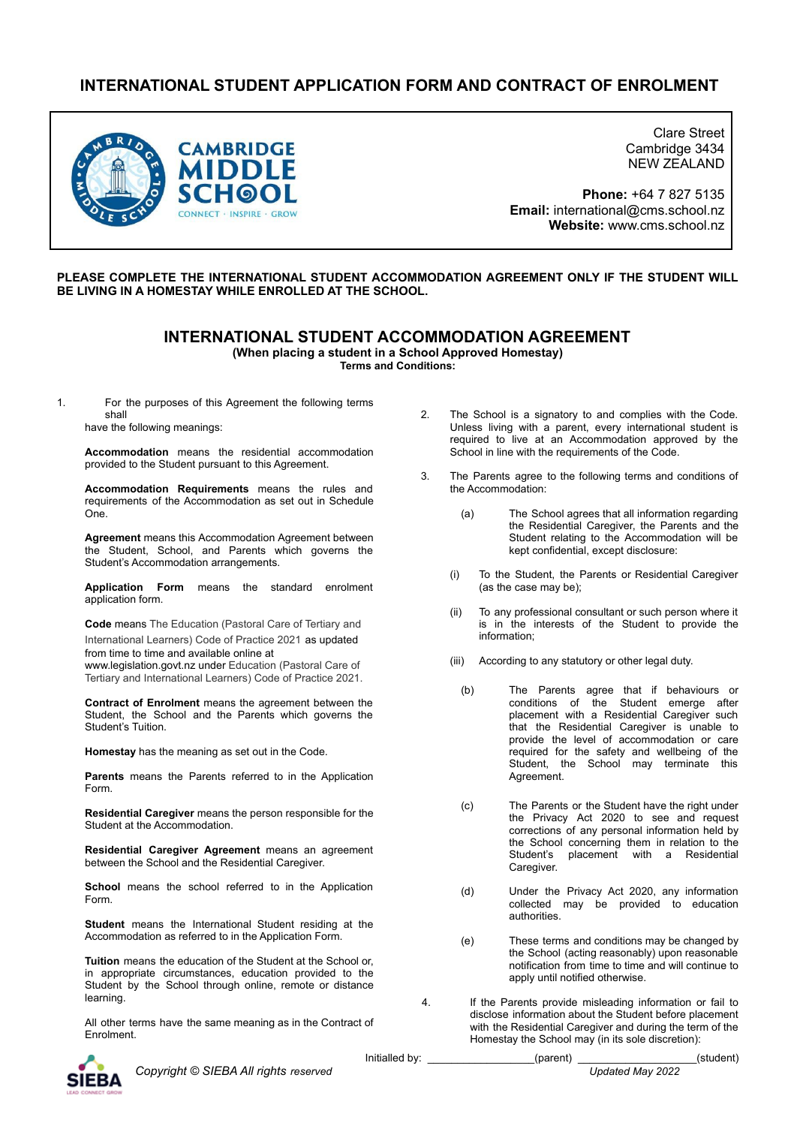# **INTERNATIONAL STUDENT APPLICATION FORM AND CONTRACT OF ENROLMENT**



Clare Street Cambridge 3434 NEW ZEALAND

**Phone:** +64 7 827 5135 **Email:** international@cms.school.nz **Website:** www.cms.school.nz

2. The School is a signatory to and complies with the Code. Unless living with a parent, every international student is required to live at an Accommodation approved by the

3. The Parents agree to the following terms and conditions of

(a) The School agrees that all information regarding

kept confidential, except disclosure: (i) To the Student, the Parents or Residential Caregiver

(ii) To any professional consultant or such person where it is in the interests of the Student to provide the

the Residential Caregiver, the Parents and the Student relating to the Accommodation will be

School in line with the requirements of the Code.

the Accommodation:

## **PLEASE COMPLETE THE INTERNATIONAL STUDENT ACCOMMODATION AGREEMENT ONLY IF THE STUDENT WILL BE LIVING IN A HOMESTAY WHILE ENROLLED AT THE SCHOOL.**

## **INTERNATIONAL STUDENT ACCOMMODATION AGREEMENT**

**(When placing a student in a School Approved Homestay)**

**Terms and Conditions:**

1. For the purposes of this Agreement the following terms shall

have the following meanings:

**Accommodation** means the residential accommodation provided to the Student pursuant to this Agreement.

**Accommodation Requirements** means the rules and requirements of the Accommodation as set out in Schedule One.

**Agreement** means this Accommodation Agreement between the Student, School, and Parents which governs the Student's Accommodation arrangements.

**Application Form** means the standard enrolment application form.

**Code** means The Education (Pastoral Care of Tertiary and International Learners) Code of Practice 2021 as updated from time to time and available online at www.legislation.govt.nz under Education (Pastoral Care of

Tertiary and International Learners) Code of Practice 2021.

**Contract of Enrolment** means the agreement between the Student, the School and the Parents which governs the Student's Tuition.

**Homestay** has the meaning as set out in the Code.

**Parents** means the Parents referred to in the Application Form.

**Residential Caregiver** means the person responsible for the Student at the Accommodation.

**Residential Caregiver Agreement** means an agreement between the School and the Residential Caregiver.

**School** means the school referred to in the Application Form.

**Student** means the International Student residing at the Accommodation as referred to in the Application Form.

**Tuition** means the education of the Student at the School or, in appropriate circumstances, education provided to the Student by the School through online, remote or distance learning.

All other terms have the same meaning as in the Contract of Enrolment.

*Copyright © SIEBA All rights reserved Updated May 2022*

(iii) According to any statutory or other legal duty.

(as the case may be);

information;

- (b) The Parents agree that if behaviours or conditions of the Student emerge after placement with a Residential Caregiver such that the Residential Caregiver is unable to provide the level of accommodation or care required for the safety and wellbeing of the Student, the School may terminate this Agreement.
- (c) The Parents or the Student have the right under the Privacy Act 2020 to see and request corrections of any personal information held by the School concerning them in relation to the Student's placement with a Residential Caregiver.
- (d) Under the Privacy Act 2020, any information collected may be provided to education authorities.
- (e) These terms and conditions may be changed by the School (acting reasonably) upon reasonable notification from time to time and will continue to apply until notified otherwise.
- 4. If the Parents provide misleading information or fail to disclose information about the Student before placement with the Residential Caregiver and during the term of the Homestay the School may (in its sole discretion):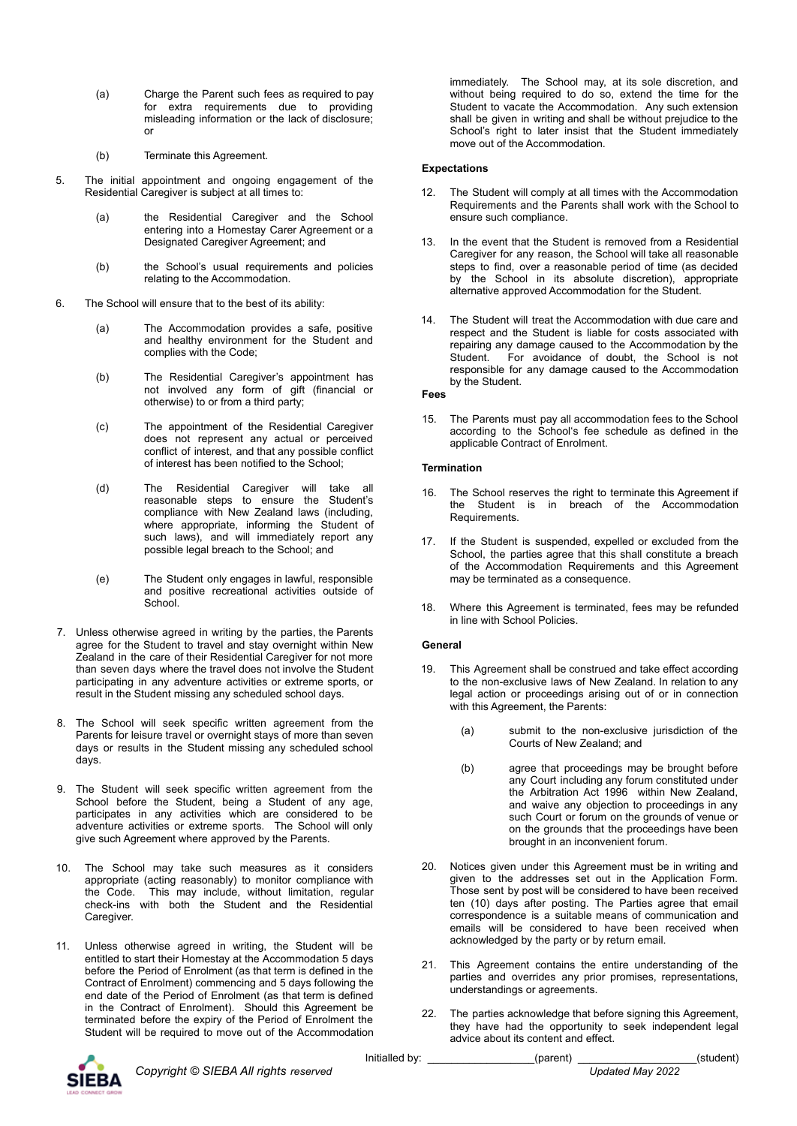- (a) Charge the Parent such fees as required to pay for extra requirements due to providing misleading information or the lack of disclosure; or
- (b) Terminate this Agreement.
- 5. The initial appointment and ongoing engagement of the Residential Caregiver is subject at all times to:
	- (a) the Residential Caregiver and the School entering into a Homestay Carer Agreement or a Designated Caregiver Agreement; and
	- (b) the School's usual requirements and policies relating to the Accommodation.
- 6. The School will ensure that to the best of its ability:
	- (a) The Accommodation provides a safe, positive and healthy environment for the Student and complies with the Code;
	- (b) The Residential Caregiver's appointment has not involved any form of gift (financial or otherwise) to or from a third party;
	- (c) The appointment of the Residential Caregiver does not represent any actual or perceived conflict of interest, and that any possible conflict of interest has been notified to the School;
	- (d) The Residential Caregiver will take all reasonable steps to ensure the Student's compliance with New Zealand laws (including, where appropriate, informing the Student of such laws), and will immediately report any possible legal breach to the School; and
	- (e) The Student only engages in lawful, responsible and positive recreational activities outside of School.
- 7. Unless otherwise agreed in writing by the parties, the Parents agree for the Student to travel and stay overnight within New Zealand in the care of their Residential Caregiver for not more than seven days where the travel does not involve the Student participating in any adventure activities or extreme sports, or result in the Student missing any scheduled school days.
- 8. The School will seek specific written agreement from the Parents for leisure travel or overnight stays of more than seven days or results in the Student missing any scheduled school days.
- 9. The Student will seek specific written agreement from the School before the Student, being a Student of any age, participates in any activities which are considered to be adventure activities or extreme sports. The School will only give such Agreement where approved by the Parents.
- 10. The School may take such measures as it considers appropriate (acting reasonably) to monitor compliance with the Code. This may include, without limitation, regular check-ins with both the Student and the Residential Caregiver.
- 11. Unless otherwise agreed in writing, the Student will be entitled to start their Homestay at the Accommodation 5 days before the Period of Enrolment (as that term is defined in the Contract of Enrolment) commencing and 5 days following the end date of the Period of Enrolment (as that term is defined in the Contract of Enrolment). Should this Agreement be terminated before the expiry of the Period of Enrolment the Student will be required to move out of the Accommodation

immediately. The School may, at its sole discretion, and without being required to do so, extend the time for the Student to vacate the Accommodation. Any such extension shall be given in writing and shall be without prejudice to the School's right to later insist that the Student immediately move out of the Accommodation.

## **Expectations**

- 12. The Student will comply at all times with the Accommodation Requirements and the Parents shall work with the School to ensure such compliance.
- 13. In the event that the Student is removed from a Residential Caregiver for any reason, the School will take all reasonable steps to find, over a reasonable period of time (as decided by the School in its absolute discretion), appropriate alternative approved Accommodation for the Student.
- 14. The Student will treat the Accommodation with due care and respect and the Student is liable for costs associated with repairing any damage caused to the Accommodation by the Student. For avoidance of doubt, the School is not responsible for any damage caused to the Accommodation by the Student.

### **Fees**

15. The Parents must pay all accommodation fees to the School according to the School's fee schedule as defined in the applicable Contract of Enrolment.

### **Termination**

- 16. The School reserves the right to terminate this Agreement if the Student is in breach of the Accommodation Requirements.
- 17. If the Student is suspended, expelled or excluded from the School, the parties agree that this shall constitute a breach of the Accommodation Requirements and this Agreement may be terminated as a consequence.
- 18. Where this Agreement is terminated, fees may be refunded in line with School Policies.

### **General**

- 19. This Agreement shall be construed and take effect according to the non-exclusive laws of New Zealand. In relation to any legal action or proceedings arising out of or in connection with this Agreement, the Parents:
	- (a) submit to the non-exclusive jurisdiction of the Courts of New Zealand; and
	- (b) agree that proceedings may be brought before any Court including any forum constituted under the Arbitration Act 1996 within New Zealand, and waive any objection to proceedings in any such Court or forum on the grounds of venue or on the grounds that the proceedings have been brought in an inconvenient forum.
- 20. Notices given under this Agreement must be in writing and given to the addresses set out in the Application Form. Those sent by post will be considered to have been received ten (10) days after posting. The Parties agree that email correspondence is a suitable means of communication and emails will be considered to have been received when acknowledged by the party or by return email.
- 21. This Agreement contains the entire understanding of the parties and overrides any prior promises, representations, understandings or agreements.
- 22. The parties acknowledge that before signing this Agreement, they have had the opportunity to seek independent legal advice about its content and effect.



Initialled by: \_\_\_\_\_\_\_\_\_\_\_\_\_\_\_\_\_\_\_\_\_(parent) \_\_\_\_\_\_\_\_\_\_\_\_\_\_\_\_\_\_\_\_(student)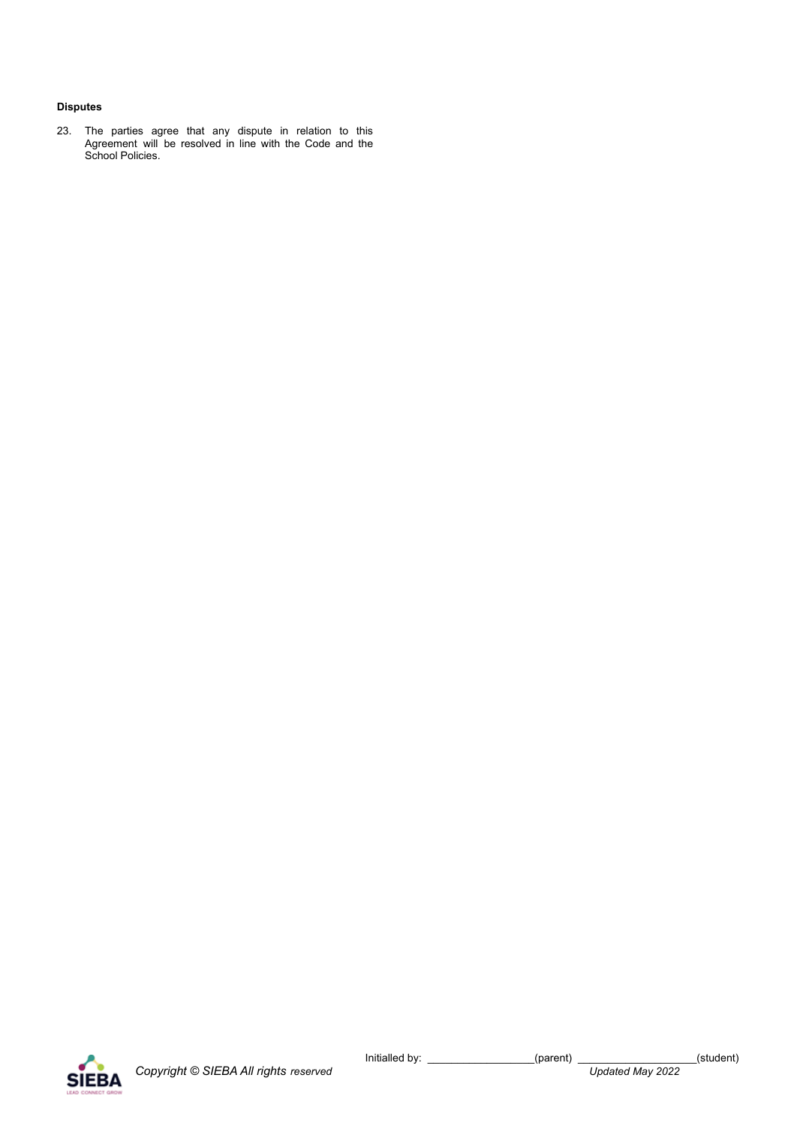## **Disputes**

23. The parties agree that any dispute in relation to this Agreement will be resolved in line with the Code and the School Policies.